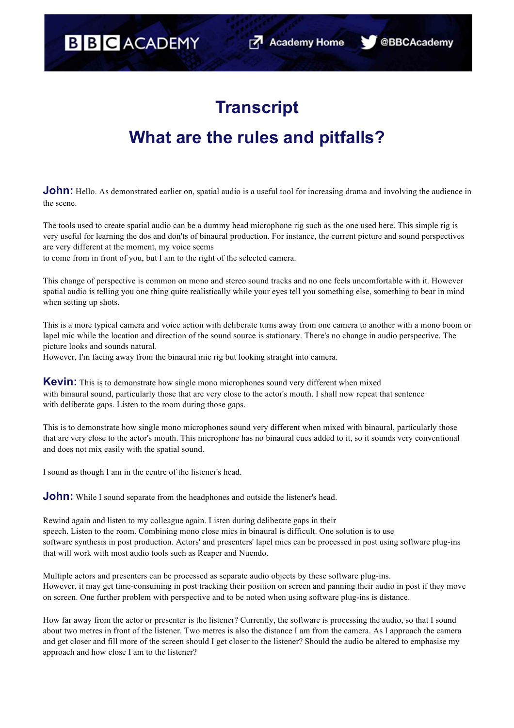@BBCAcademy

## **Transcript**

## **What are the rules and pitfalls?**

**John:** Hello. As demonstrated earlier on, spatial audio is a useful tool for increasing drama and involving the audience in the scene.

The tools used to create spatial audio can be a dummy head microphone rig such as the one used here. This simple rig is very useful for learning the dos and don'ts of binaural production. For instance, the current picture and sound perspectives are very different at the moment, my voice seems

to come from in front of you, but I am to the right of the selected camera.

This change of perspective is common on mono and stereo sound tracks and no one feels uncomfortable with it. However spatial audio is telling you one thing quite realistically while your eyes tell you something else, something to bear in mind when setting up shots.

This is a more typical camera and voice action with deliberate turns away from one camera to another with a mono boom or lapel mic while the location and direction of the sound source is stationary. There's no change in audio perspective. The picture looks and sounds natural.

However, I'm facing away from the binaural mic rig but looking straight into camera.

**Kevin:** This is to demonstrate how single mono microphones sound very different when mixed with binaural sound, particularly those that are very close to the actor's mouth. I shall now repeat that sentence with deliberate gaps. Listen to the room during those gaps.

This is to demonstrate how single mono microphones sound very different when mixed with binaural, particularly those that are very close to the actor's mouth. This microphone has no binaural cues added to it, so it sounds very conventional and does not mix easily with the spatial sound.

I sound as though I am in the centre of the listener's head.

**John:** While I sound separate from the headphones and outside the listener's head.

Rewind again and listen to my colleague again. Listen during deliberate gaps in their speech. Listen to the room. Combining mono close mics in binaural is difficult. One solution is to use software synthesis in post production. Actors' and presenters' lapel mics can be processed in post using software plug-ins that will work with most audio tools such as Reaper and Nuendo.

Multiple actors and presenters can be processed as separate audio objects by these software plug-ins. However, it may get time-consuming in post tracking their position on screen and panning their audio in post if they move on screen. One further problem with perspective and to be noted when using software plug-ins is distance.

How far away from the actor or presenter is the listener? Currently, the software is processing the audio, so that I sound about two metres in front of the listener. Two metres is also the distance I am from the camera. As I approach the camera and get closer and fill more of the screen should I get closer to the listener? Should the audio be altered to emphasise my approach and how close I am to the listener?